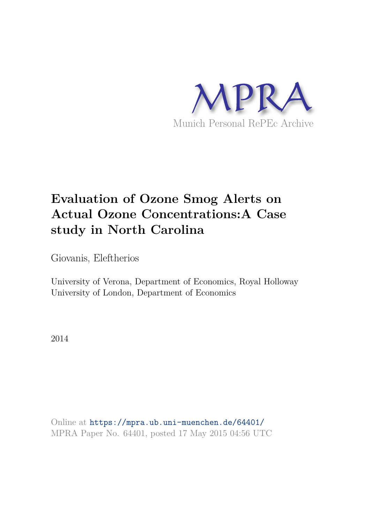

# **Evaluation of Ozone Smog Alerts on Actual Ozone Concentrations:A Case study in North Carolina**

Giovanis, Eleftherios

University of Verona, Department of Economics, Royal Holloway University of London, Department of Economics

2014

Online at https://mpra.ub.uni-muenchen.de/64401/ MPRA Paper No. 64401, posted 17 May 2015 04:56 UTC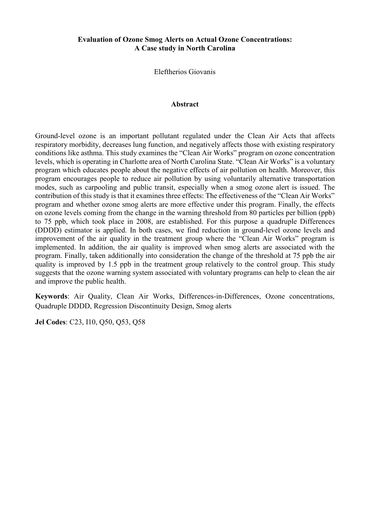# **Evaluation of Ozone Smog Alerts on Actual Ozone Concentrations: A Case study in North Carolina**

Eleftherios Giovanis

#### **Abstract**

Ground-level ozone is an important pollutant regulated under the Clean Air Acts that affects respiratory morbidity, decreases lung function, and negatively affects those with existing respiratory conditions like asthma. This study examines the "Clean Air Works" program on ozone concentration levels, which is operating in Charlotte area of North Carolina State. "Clean Air Works" is a voluntary program which educates people about the negative effects of air pollution on health. Moreover, this program encourages people to reduce air pollution by using voluntarily alternative transportation modes, such as carpooling and public transit, especially when a smog ozone alert is issued. The contribution of this study is that it examines three effects: The effectiveness of the "Clean Air Works" program and whether ozone smog alerts are more effective under this program. Finally, the effects on ozone levels coming from the change in the warning threshold from 80 particles per billion (ppb) to 75 ppb, which took place in 2008, are established. For this purpose a quadruple Differences (DDDD) estimator is applied. In both cases, we find reduction in ground-level ozone levels and improvement of the air quality in the treatment group where the "Clean Air Works" program is implemented. In addition, the air quality is improved when smog alerts are associated with the program. Finally, taken additionally into consideration the change of the threshold at 75 ppb the air quality is improved by 1.5 ppb in the treatment group relatively to the control group. This study suggests that the ozone warning system associated with voluntary programs can help to clean the air and improve the public health.

**Keywords**: Air Quality, Clean Air Works, Differences-in-Differences, Ozone concentrations, Quadruple DDDD, Regression Discontinuity Design, Smog alerts

**Jel Codes**: C23, I10, Q50, Q53, Q58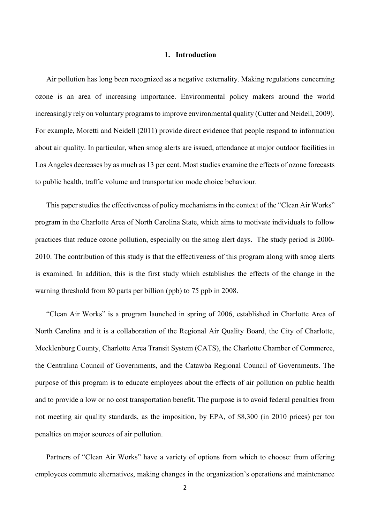#### **1. Introduction**

Air pollution has long been recognized as a negative externality. Making regulations concerning ozone is an area of increasing importance. Environmental policy makers around the world increasingly rely on voluntary programs to improve environmental quality (Cutter and Neidell, 2009). For example, Moretti and Neidell (2011) provide direct evidence that people respond to information about air quality. In particular, when smog alerts are issued, attendance at major outdoor facilities in Los Angeles decreases by as much as 13 per cent. Most studies examine the effects of ozone forecasts to public health, traffic volume and transportation mode choice behaviour.

This paper studies the effectiveness of policy mechanisms in the context of the "Clean Air Works" program in the Charlotte Area of North Carolina State, which aims to motivate individuals to follow practices that reduce ozone pollution, especially on the smog alert days. The study period is 2000- 2010. The contribution of this study is that the effectiveness of this program along with smog alerts is examined. In addition, this is the first study which establishes the effects of the change in the warning threshold from 80 parts per billion (ppb) to 75 ppb in 2008.

"Clean Air Works" is a program launched in spring of 2006, established in Charlotte Area of North Carolina and it is a collaboration of the Regional Air Quality Board, the City of Charlotte, Mecklenburg County, Charlotte Area Transit System (CATS), the Charlotte Chamber of Commerce, the Centralina Council of Governments, and the Catawba Regional Council of Governments. The purpose of this program is to educate employees about the effects of air pollution on public health and to provide a low or no cost transportation benefit. The purpose is to avoid federal penalties from not meeting air quality standards, as the imposition, by EPA, of \$8,300 (in 2010 prices) per ton penalties on major sources of air pollution.

Partners of "Clean Air Works" have a variety of options from which to choose: from offering employees commute alternatives, making changes in the organization's operations and maintenance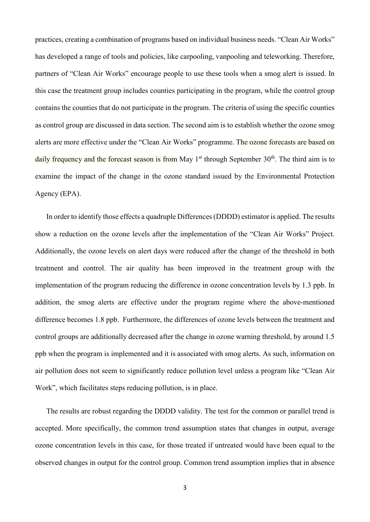practices, creating a combination of programs based on individual business needs. "Clean Air Works" has developed a range of tools and policies, like carpooling, vanpooling and teleworking. Therefore, partners of "Clean Air Works" encourage people to use these tools when a smog alert is issued. In this case the treatment group includes counties participating in the program, while the control group contains the counties that do not participate in the program. The criteria of using the specific counties as control group are discussed in data section. The second aim is to establish whether the ozone smog alerts are more effective under the "Clean Air Works" programme. The ozone forecasts are based on daily frequency and the forecast season is from May 1<sup>st</sup> through September 30<sup>th</sup>. The third aim is to examine the impact of the change in the ozone standard issued by the Environmental Protection Agency (EPA).

In order to identify those effects a quadruple Differences (DDDD) estimator is applied. The results show a reduction on the ozone levels after the implementation of the "Clean Air Works" Project. Additionally, the ozone levels on alert days were reduced after the change of the threshold in both treatment and control. The air quality has been improved in the treatment group with the implementation of the program reducing the difference in ozone concentration levels by 1.3 ppb. In addition, the smog alerts are effective under the program regime where the above-mentioned difference becomes 1.8 ppb. Furthermore, the differences of ozone levels between the treatment and control groups are additionally decreased after the change in ozone warning threshold, by around 1.5 ppb when the program is implemented and it is associated with smog alerts. As such, information on air pollution does not seem to significantly reduce pollution level unless a program like "Clean Air Work", which facilitates steps reducing pollution, is in place.

The results are robust regarding the DDDD validity. The test for the common or parallel trend is accepted. More specifically, the common trend assumption states that changes in output, average ozone concentration levels in this case, for those treated if untreated would have been equal to the observed changes in output for the control group. Common trend assumption implies that in absence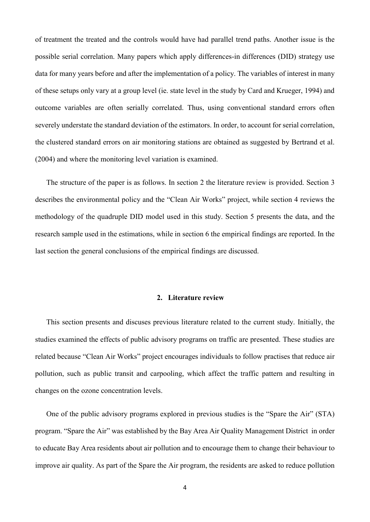of treatment the treated and the controls would have had parallel trend paths. Another issue is the possible serial correlation. Many papers which apply differences-in differences (DID) strategy use data for many years before and after the implementation of a policy. The variables of interest in many of these setups only vary at a group level (ie. state level in the study by Card and Krueger, 1994) and outcome variables are often serially correlated. Thus, using conventional standard errors often severely understate the standard deviation of the estimators. In order, to account for serial correlation, the clustered standard errors on air monitoring stations are obtained as suggested by Bertrand et al. (2004) and where the monitoring level variation is examined.

The structure of the paper is as follows. In section 2 the literature review is provided. Section 3 describes the environmental policy and the "Clean Air Works" project, while section 4 reviews the methodology of the quadruple DID model used in this study. Section 5 presents the data, and the research sample used in the estimations, while in section 6 the empirical findings are reported. In the last section the general conclusions of the empirical findings are discussed.

## **2. Literature review**

This section presents and discuses previous literature related to the current study. Initially, the studies examined the effects of public advisory programs on traffic are presented. These studies are related because "Clean Air Works" project encourages individuals to follow practises that reduce air pollution, such as public transit and carpooling, which affect the traffic pattern and resulting in changes on the ozone concentration levels.

One of the public advisory programs explored in previous studies is the "Spare the Air" (STA) program. "Spare the Air" was established by the Bay Area Air Quality Management District in order to educate Bay Area residents about air pollution and to encourage them to change their behaviour to improve air quality. As part of the Spare the Air program, the residents are asked to reduce pollution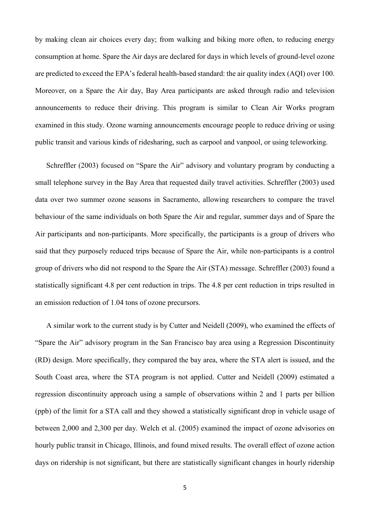by making clean air choices every day; from walking and biking more often, to reducing energy consumption at home. Spare the Air days are declared for days in which levels of ground-level ozone are predicted to exceed the EPA's federal health-based standard: the air quality index (AQI) over 100. Moreover, on a Spare the Air day, Bay Area participants are asked through radio and television announcements to reduce their driving. This program is similar to Clean Air Works program examined in this study. Ozone warning announcements encourage people to reduce driving or using public transit and various kinds of ridesharing, such as carpool and vanpool, or using teleworking.

Schreffler (2003) focused on "Spare the Air" advisory and voluntary program by conducting a small telephone survey in the Bay Area that requested daily travel activities. Schreffler (2003) used data over two summer ozone seasons in Sacramento, allowing researchers to compare the travel behaviour of the same individuals on both Spare the Air and regular, summer days and of Spare the Air participants and non-participants. More specifically, the participants is a group of drivers who said that they purposely reduced trips because of Spare the Air, while non-participants is a control group of drivers who did not respond to the Spare the Air (STA) message. Schreffler (2003) found a statistically significant 4.8 per cent reduction in trips. The 4.8 per cent reduction in trips resulted in an emission reduction of 1.04 tons of ozone precursors.

A similar work to the current study is by Cutter and Neidell (2009), who examined the effects of "Spare the Air" advisory program in the San Francisco bay area using a Regression Discontinuity (RD) design. More specifically, they compared the bay area, where the STA alert is issued, and the South Coast area, where the STA program is not applied. Cutter and Neidell (2009) estimated a regression discontinuity approach using a sample of observations within 2 and 1 parts per billion (ppb) of the limit for a STA call and they showed a statistically significant drop in vehicle usage of between 2,000 and 2,300 per day. Welch et al. (2005) examined the impact of ozone advisories on hourly public transit in Chicago, Illinois, and found mixed results. The overall effect of ozone action days on ridership is not significant, but there are statistically significant changes in hourly ridership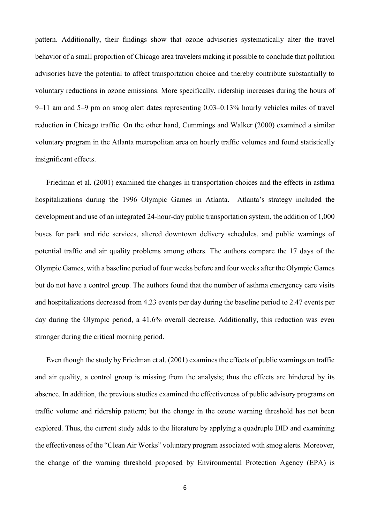pattern. Additionally, their findings show that ozone advisories systematically alter the travel behavior of a small proportion of Chicago area travelers making it possible to conclude that pollution advisories have the potential to affect transportation choice and thereby contribute substantially to voluntary reductions in ozone emissions. More specifically, ridership increases during the hours of 9–11 am and 5–9 pm on smog alert dates representing 0.03–0.13% hourly vehicles miles of travel reduction in Chicago traffic. On the other hand, Cummings and Walker (2000) examined a similar voluntary program in the Atlanta metropolitan area on hourly traffic volumes and found statistically insignificant effects.

Friedman et al. (2001) examined the changes in transportation choices and the effects in asthma hospitalizations during the 1996 Olympic Games in Atlanta. Atlanta's strategy included the development and use of an integrated 24-hour-day public transportation system, the addition of 1,000 buses for park and ride services, altered downtown delivery schedules, and public warnings of potential traffic and air quality problems among others. The authors compare the 17 days of the Olympic Games, with a baseline period of four weeks before and four weeks after the Olympic Games but do not have a control group. The authors found that the number of asthma emergency care visits and hospitalizations decreased from 4.23 events per day during the baseline period to 2.47 events per day during the Olympic period, a 41.6% overall decrease. Additionally, this reduction was even stronger during the critical morning period.

Even though the study by Friedman et al. (2001) examines the effects of public warnings on traffic and air quality, a control group is missing from the analysis; thus the effects are hindered by its absence. In addition, the previous studies examined the effectiveness of public advisory programs on traffic volume and ridership pattern; but the change in the ozone warning threshold has not been explored. Thus, the current study adds to the literature by applying a quadruple DID and examining the effectiveness of the "Clean Air Works" voluntary program associated with smog alerts. Moreover, the change of the warning threshold proposed by Environmental Protection Agency (EPA) is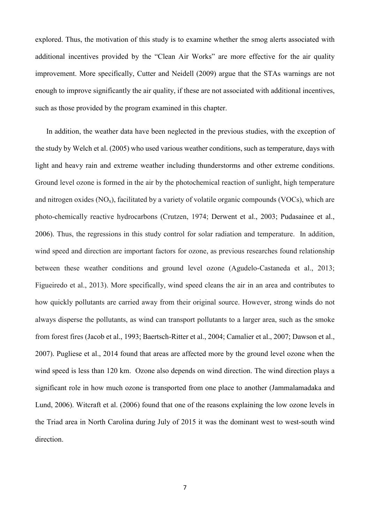explored. Thus, the motivation of this study is to examine whether the smog alerts associated with additional incentives provided by the "Clean Air Works" are more effective for the air quality improvement. More specifically, Cutter and Neidell (2009) argue that the STAs warnings are not enough to improve significantly the air quality, if these are not associated with additional incentives, such as those provided by the program examined in this chapter.

In addition, the weather data have been neglected in the previous studies, with the exception of the study by Welch et al. (2005) who used various weather conditions, such as temperature, days with light and heavy rain and extreme weather including thunderstorms and other extreme conditions. Ground level ozone is formed in the air by the photochemical reaction of sunlight, high temperature and nitrogen oxides  $(NO_x)$ , facilitated by a variety of volatile organic compounds  $(VOCs)$ , which are photo-chemically reactive hydrocarbons (Crutzen, 1974; Derwent et al., 2003; Pudasainee et al., 2006). Thus, the regressions in this study control for solar radiation and temperature. In addition, wind speed and direction are important factors for ozone, as previous researches found relationship between these weather conditions and ground level ozone (Agudelo-Castaneda et al., 2013; Figueiredo et al., 2013). More specifically, wind speed cleans the air in an area and contributes to how quickly pollutants are carried away from their original source. However, strong winds do not always disperse the pollutants, as wind can transport pollutants to a larger area, such as the smoke from forest fires (Jacob et al., 1993; Baertsch-Ritter et al., 2004; Camalier et al., 2007; Dawson et al., 2007). Pugliese et al., 2014 found that areas are affected more by the ground level ozone when the wind speed is less than 120 km. Ozone also depends on wind direction. The wind direction plays a significant role in how much ozone is transported from one place to another (Jammalamadaka and Lund, 2006). Witcraft et al. (2006) found that one of the reasons explaining the low ozone levels in the Triad area in North Carolina during July of 2015 it was the dominant west to west-south wind direction.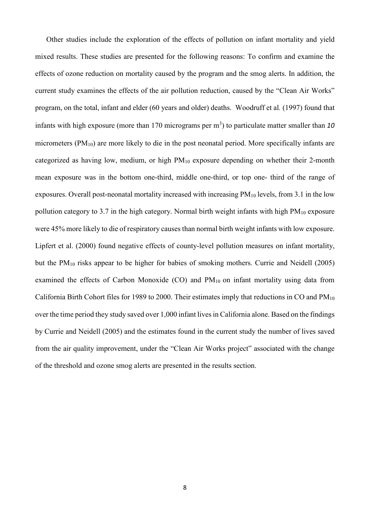Other studies include the exploration of the effects of pollution on infant mortality and yield mixed results. These studies are presented for the following reasons: To confirm and examine the effects of ozone reduction on mortality caused by the program and the smog alerts. In addition, the current study examines the effects of the air pollution reduction, caused by the "Clean Air Works" program, on the total, infant and elder (60 years and older) deaths. Woodruff et al*.* (1997) found that infants with high exposure (more than 170 micrograms per m<sup>3</sup>) to particulate matter smaller than 10 micrometers (PM10) are more likely to die in the post neonatal period. More specifically infants are categorized as having low, medium, or high PM10 exposure depending on whether their 2-month mean exposure was in the bottom one-third, middle one-third, or top one- third of the range of exposures. Overall post-neonatal mortality increased with increasing PM<sub>10</sub> levels, from 3.1 in the low pollution category to 3.7 in the high category. Normal birth weight infants with high  $PM_{10}$  exposure were 45% more likely to die of respiratory causes than normal birth weight infants with low exposure. Lipfert et al. (2000) found negative effects of county-level pollution measures on infant mortality, but the PM10 risks appear to be higher for babies of smoking mothers. Currie and Neidell (2005) examined the effects of Carbon Monoxide  $(CO)$  and  $PM_{10}$  on infant mortality using data from California Birth Cohort files for 1989 to 2000. Their estimates imply that reductions in CO and PM<sup>10</sup> over the time period they study saved over 1,000 infant lives in California alone. Based on the findings by Currie and Neidell (2005) and the estimates found in the current study the number of lives saved from the air quality improvement, under the "Clean Air Works project" associated with the change of the threshold and ozone smog alerts are presented in the results section.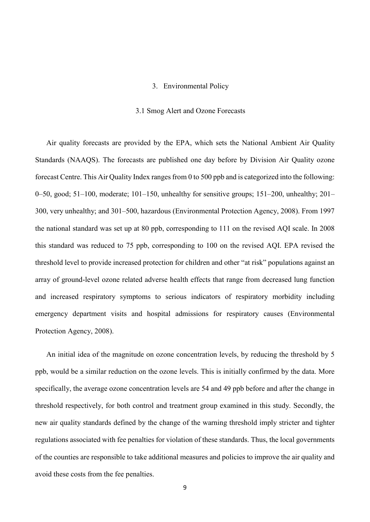## 3. Environmental Policy

#### 3.1 Smog Alert and Ozone Forecasts

Air quality forecasts are provided by the EPA, which sets the National Ambient Air Quality Standards (NAAQS). The forecasts are published one day before by Division Air Quality ozone forecast Centre. This Air Quality Index ranges from 0 to 500 ppb and is categorized into the following: 0–50, good; 51–100, moderate; 101–150, unhealthy for sensitive groups;  $151-200$ , unhealthy;  $201-$ 300, very unhealthy; and 301–500, hazardous (Environmental Protection Agency, 2008). From 1997 the national standard was set up at 80 ppb, corresponding to 111 on the revised AQI scale. In 2008 this standard was reduced to 75 ppb, corresponding to 100 on the revised AQI. EPA revised the threshold level to provide increased protection for children and other "at risk" populations against an array of ground-level ozone related adverse health effects that range from decreased lung function and increased respiratory symptoms to serious indicators of respiratory morbidity including emergency department visits and hospital admissions for respiratory causes (Environmental Protection Agency, 2008).

An initial idea of the magnitude on ozone concentration levels, by reducing the threshold by 5 ppb, would be a similar reduction on the ozone levels. This is initially confirmed by the data. More specifically, the average ozone concentration levels are 54 and 49 ppb before and after the change in threshold respectively, for both control and treatment group examined in this study. Secondly, the new air quality standards defined by the change of the warning threshold imply stricter and tighter regulations associated with fee penalties for violation of these standards. Thus, the local governments of the counties are responsible to take additional measures and policies to improve the air quality and avoid these costs from the fee penalties.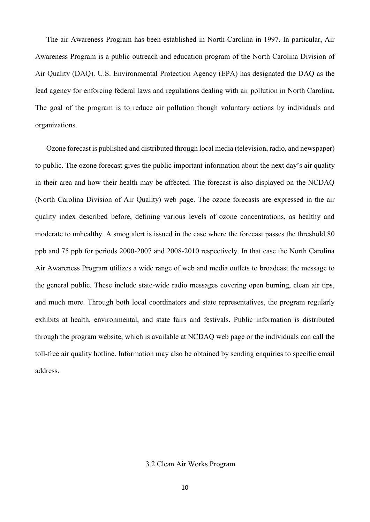The air Awareness Program has been established in North Carolina in 1997. In particular, Air Awareness Program is a public outreach and education program of the North Carolina Division of Air Quality (DAQ). U.S. Environmental Protection Agency (EPA) has designated the DAQ as the lead agency for enforcing federal laws and regulations dealing with air pollution in North Carolina. The goal of the program is to reduce air pollution though voluntary actions by individuals and organizations.

Ozone forecast is published and distributed through local media (television, radio, and newspaper) to public. The ozone forecast gives the public important information about the next day's air quality in their area and how their health may be affected. The forecast is also displayed on the NCDAQ (North Carolina Division of Air Quality) web page. The ozone forecasts are expressed in the air quality index described before, defining various levels of ozone concentrations, as healthy and moderate to unhealthy. A smog alert is issued in the case where the forecast passes the threshold 80 ppb and 75 ppb for periods 2000-2007 and 2008-2010 respectively. In that case the North Carolina Air Awareness Program utilizes a wide range of web and media outlets to broadcast the message to the general public. These include state-wide radio messages covering open burning, clean air tips, and much more. Through both local coordinators and state representatives, the program regularly exhibits at health, environmental, and state fairs and festivals. Public information is distributed through the program website, which is available at NCDAQ web page or the individuals can call the toll-free air quality hotline. Information may also be obtained by sending enquiries to specific email address.

# 3.2 Clean Air Works Program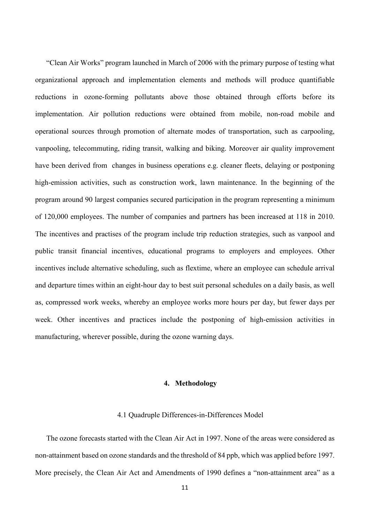"Clean Air Works" program launched in March of 2006 with the primary purpose of testing what organizational approach and implementation elements and methods will produce quantifiable reductions in ozone-forming pollutants above those obtained through efforts before its implementation. Air pollution reductions were obtained from mobile, non-road mobile and operational sources through promotion of alternate modes of transportation, such as carpooling, vanpooling, telecommuting, riding transit, walking and biking. Moreover air quality improvement have been derived from changes in business operations e.g. cleaner fleets, delaying or postponing high-emission activities, such as construction work, lawn maintenance. In the beginning of the program around 90 largest companies secured participation in the program representing a minimum of 120,000 employees. The number of companies and partners has been increased at 118 in 2010. The incentives and practises of the program include trip reduction strategies, such as vanpool and public transit financial incentives, educational programs to employers and employees. Other incentives include alternative scheduling, such as flextime, where an employee can schedule arrival and departure times within an eight-hour day to best suit personal schedules on a daily basis, as well as, compressed work weeks, whereby an employee works more hours per day, but fewer days per week. Other incentives and practices include the postponing of high-emission activities in manufacturing, wherever possible, during the ozone warning days.

# **4. Methodology**

#### 4.1 Quadruple Differences-in-Differences Model

The ozone forecasts started with the Clean Air Act in 1997. None of the areas were considered as non-attainment based on ozone standards and the threshold of 84 ppb, which was applied before 1997. More precisely, the Clean Air Act and Amendments of 1990 defines a "non-attainment area" as a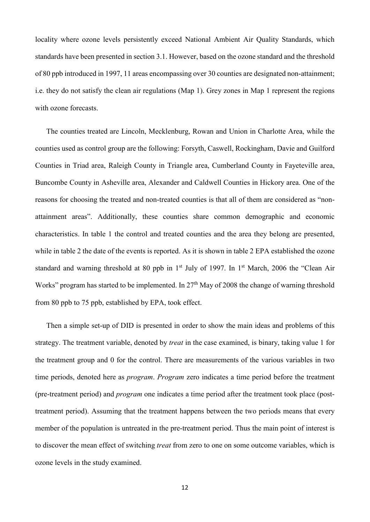locality where ozone levels persistently exceed National Ambient Air Quality Standards, which standards have been presented in section 3.1. However, based on the ozone standard and the threshold of 80 ppb introduced in 1997, 11 areas encompassing over 30 counties are designated non-attainment; i.e. they do not satisfy the clean air regulations (Map 1). Grey zones in Map 1 represent the regions with ozone forecasts.

The counties treated are Lincoln, Mecklenburg, Rowan and Union in Charlotte Area, while the counties used as control group are the following: Forsyth, Caswell, Rockingham, Davie and Guilford Counties in Triad area, Raleigh County in Triangle area, Cumberland County in Fayeteville area, Buncombe County in Asheville area, Alexander and Caldwell Counties in Hickory area. One of the reasons for choosing the treated and non-treated counties is that all of them are considered as "nonattainment areas". Additionally, these counties share common demographic and economic characteristics. In table 1 the control and treated counties and the area they belong are presented, while in table 2 the date of the events is reported. As it is shown in table 2 EPA established the ozone standard and warning threshold at 80 ppb in 1<sup>st</sup> July of 1997. In 1<sup>st</sup> March, 2006 the "Clean Air Works" program has started to be implemented. In 27<sup>th</sup> May of 2008 the change of warning threshold from 80 ppb to 75 ppb, established by EPA, took effect.

Then a simple set-up of DID is presented in order to show the main ideas and problems of this strategy. The treatment variable, denoted by *treat* in the case examined, is binary, taking value 1 for the treatment group and 0 for the control. There are measurements of the various variables in two time periods, denoted here as *program*. *Program* zero indicates a time period before the treatment (pre-treatment period) and *program* one indicates a time period after the treatment took place (posttreatment period). Assuming that the treatment happens between the two periods means that every member of the population is untreated in the pre-treatment period. Thus the main point of interest is to discover the mean effect of switching *treat* from zero to one on some outcome variables, which is ozone levels in the study examined.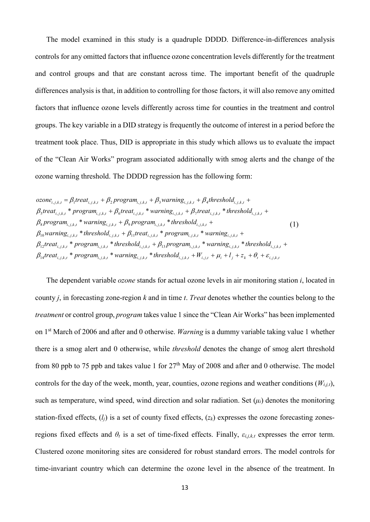The model examined in this study is a quadruple DDDD. Difference-in-differences analysis controls for any omitted factors that influence ozone concentration levels differently for the treatment and control groups and that are constant across time. The important benefit of the quadruple differences analysis is that, in addition to controlling for those factors, it will also remove any omitted factors that influence ozone levels differently across time for counties in the treatment and control groups. The key variable in a DID strategy is frequently the outcome of interest in a period before the treatment took place. Thus, DID is appropriate in this study which allows us to evaluate the impact of the "Clean Air Works" program associated additionally with smog alerts and the change of the ozone warning threshold. The DDDD regression has the following form:

$$
ozone_{i,j,k,t} = \beta_1 treat_{i,j,k,t} + \beta_2 program_{i,j,k,t} + \beta_3 warning_{i,j,k,t} + \beta_4 threshold_{i,j,k,t} +
$$
\n
$$
\beta_5 treat_{i,j,k,t} * program_{i,j,k,t} + \beta_6 treat_{i,j,k,t} * warning_{i,j,k,t} + \beta_7 treat_{i,j,k,t} * threshold_{i,j,k,t} +
$$
\n
$$
\beta_8 program_{i,j,k,t} * warning_{i,j,k,t} + \beta_9 program_{i,j,k,t} * threshold_{i,j,k,t} +
$$
\n
$$
\beta_{10} warning_{i,j,k,t} * threshold_{i,j,k,t} + \beta_{11} treat_{i,j,k,t} * program_{i,j,k,t} * warning_{i,j,k,t} +
$$
\n
$$
\beta_{12} treat_{i,j,k,t} * program_{i,j,k,t} * threshold_{i,j,k,t} + \beta_{13} program_{i,j,k,t} * warning_{i,j,k,t} * threshold_{i,j,k,t} +
$$
\n
$$
\beta_{14} treat_{i,j,k,t} * program_{i,j,k,t} * warning_{i,j,k,t} * threshold_{i,j,k,t} + W_{i,j,t} + \mu_i + l_j + z_k + \theta_t + \varepsilon_{i,j,k,t}
$$

The dependent variable *ozone* stands for actual ozone levels in air monitoring station *i*, located in county *j*, in forecasting zone-region *k* and in time *t*. *Treat* denotes whether the counties belong to the *treatment* or control group, *program* takes value 1 since the "Clean Air Works" has been implemented on 1st March of 2006 and after and 0 otherwise. *Warning* is a dummy variable taking value 1 whether there is a smog alert and 0 otherwise, while *threshold* denotes the change of smog alert threshold from 80 ppb to 75 ppb and takes value 1 for  $27<sup>th</sup>$  May of 2008 and after and 0 otherwise. The model controls for the day of the week, month, year, counties, ozone regions and weather conditions  $(W_{i,i,t})$ , such as temperature, wind speed, wind direction and solar radiation. Set  $(\mu_i)$  denotes the monitoring station-fixed effects, (*lj*) is a set of county fixed effects, (*zk*) expresses the ozone forecasting zonesregions fixed effects and  $\theta_t$  is a set of time-fixed effects. Finally,  $\varepsilon_{i,j,k,t}$  expresses the error term. Clustered ozone monitoring sites are considered for robust standard errors. The model controls for time-invariant country which can determine the ozone level in the absence of the treatment. In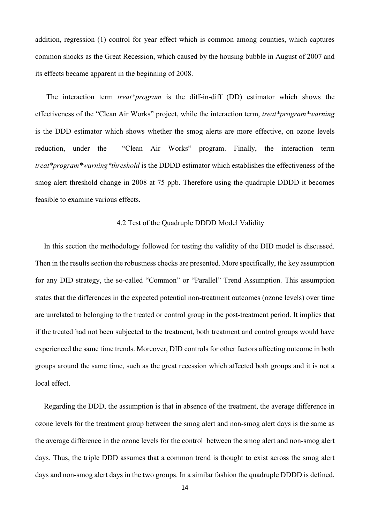addition, regression (1) control for year effect which is common among counties, which captures common shocks as the Great Recession, which caused by the housing bubble in August of 2007 and its effects became apparent in the beginning of 2008.

The interaction term *treat\*program* is the diff-in-diff (DD) estimator which shows the effectiveness of the "Clean Air Works" project, while the interaction term, *treat\*program\*warning*  is the DDD estimator which shows whether the smog alerts are more effective, on ozone levels reduction, under the "Clean Air Works" program. Finally, the interaction term *treat\*program\*warning\*threshold* is the DDDD estimator which establishes the effectiveness of the smog alert threshold change in 2008 at 75 ppb. Therefore using the quadruple DDDD it becomes feasible to examine various effects.

### 4.2 Test of the Quadruple DDDD Model Validity

In this section the methodology followed for testing the validity of the DID model is discussed. Then in the results section the robustness checks are presented. More specifically, the key assumption for any DID strategy, the so-called "Common" or "Parallel" Trend Assumption. This assumption states that the differences in the expected potential non-treatment outcomes (ozone levels) over time are unrelated to belonging to the treated or control group in the post-treatment period. It implies that if the treated had not been subjected to the treatment, both treatment and control groups would have experienced the same time trends. Moreover, DID controls for other factors affecting outcome in both groups around the same time, such as the great recession which affected both groups and it is not a local effect.

Regarding the DDD, the assumption is that in absence of the treatment, the average difference in ozone levels for the treatment group between the smog alert and non-smog alert days is the same as the average difference in the ozone levels for the control between the smog alert and non-smog alert days. Thus, the triple DDD assumes that a common trend is thought to exist across the smog alert days and non-smog alert days in the two groups. In a similar fashion the quadruple DDDD is defined,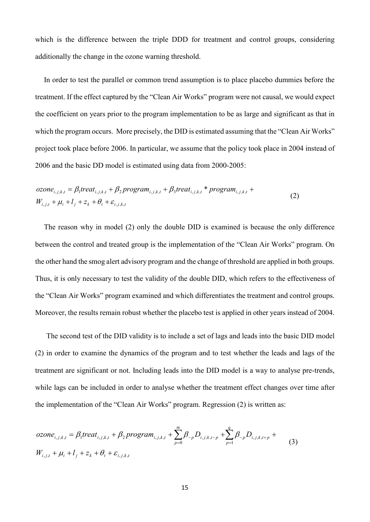which is the difference between the triple DDD for treatment and control groups, considering additionally the change in the ozone warning threshold.

In order to test the parallel or common trend assumption is to place placebo dummies before the treatment. If the effect captured by the "Clean Air Works" program were not causal, we would expect the coefficient on years prior to the program implementation to be as large and significant as that in which the program occurs. More precisely, the DID is estimated assuming that the "Clean Air Works" project took place before 2006. In particular, we assume that the policy took place in 2004 instead of 2006 and the basic DD model is estimated using data from 2000-2005:

$$
ozone_{i,j,k,t} = \beta_1 treat_{i,j,k,t} + \beta_2 program_{i,j,k,t} + \beta_3 treat_{i,j,k,t} * program_{i,j,k,t} + W_{i,j,t} + \mu_i + l_j + z_k + \theta_t + \varepsilon_{i,j,k,t}
$$
\n
$$
(2)
$$

The reason why in model (2) only the double DID is examined is because the only difference between the control and treated group is the implementation of the "Clean Air Works" program. On the other hand the smog alert advisory program and the change of threshold are applied in both groups. Thus, it is only necessary to test the validity of the double DID, which refers to the effectiveness of the "Clean Air Works" program examined and which differentiates the treatment and control groups. Moreover, the results remain robust whether the placebo test is applied in other years instead of 2004.

The second test of the DID validity is to include a set of lags and leads into the basic DID model (2) in order to examine the dynamics of the program and to test whether the leads and lags of the treatment are significant or not. Including leads into the DID model is a way to analyse pre-trends, while lags can be included in order to analyse whether the treatment effect changes over time after the implementation of the "Clean Air Works" program. Regression (2) is written as:

$$
ozone_{i,j,k,t} = \beta_1 treat_{i,j,k,t} + \beta_2 program_{i,j,k,t} + \sum_{p=0}^{m} \beta_{-p} D_{i,j,k,t-p} + \sum_{p=1}^{q} \beta_{-p} D_{i,j,k,t+p} + W_{i,j,t} + \mu_i + l_j + z_k + \theta_t + \varepsilon_{i,j,k,t}
$$
\n(3)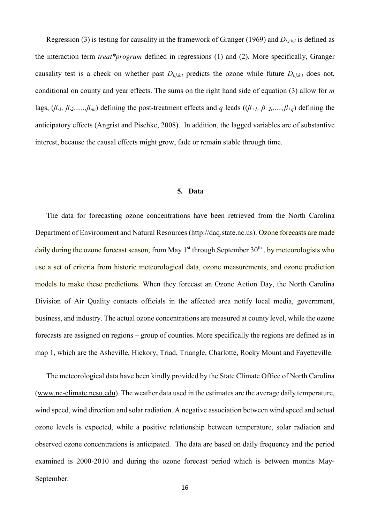Regression (3) is testing for causality in the framework of Granger (1969) and *Di,j,k,t* is defined as the interaction term *treat\*program* defined in regressions (1) and (2). More specifically, Granger causality test is a check on whether past  $D_{i,j,k,t}$  predicts the ozone while future  $D_{i,j,k,t}$  does not, conditional on county and year effects. The sums on the right hand side of equation (3) allow for *m* lags, (*β-1, β-2,.....,β-m*) defining the post-treatment effects and *q* leads ((*β+1, β+2,.....,β+q*) defining the anticipatory effects (Angrist and Pischke, 2008). In addition, the lagged variables are of substantive interest, because the causal effects might grow, fade or remain stable through time.

#### **5. Data**

The data for forecasting ozone concentrations have been retrieved from the North Carolina Department of Environment and Natural Resources (http://daq.state.nc.us). Ozone forecasts are made daily during the ozone forecast season, from May  $1<sup>st</sup>$  through September  $30<sup>th</sup>$ , by meteorologists who use a set of criteria from historic meteorological data, ozone measurements, and ozone prediction models to make these predictions. When they forecast an Ozone Action Day, the North Carolina Division of Air Quality contacts officials in the affected area notify local media, government, business, and industry. The actual ozone concentrations are measured at county level, while the ozone forecasts are assigned on regions – group of counties. More specifically the regions are defined as in map 1, which are the Asheville, Hickory, Triad, Triangle, Charlotte, Rocky Mount and Fayetteville.

The meteorological data have been kindly provided by the State Climate Office of North Carolina (www.nc-climate.ncsu.edu). The weather data used in the estimates are the average daily temperature, wind speed, wind direction and solar radiation. A negative association between wind speed and actual ozone levels is expected, while a positive relationship between temperature, solar radiation and observed ozone concentrations is anticipated. The data are based on daily frequency and the period examined is 2000-2010 and during the ozone forecast period which is between months May-September.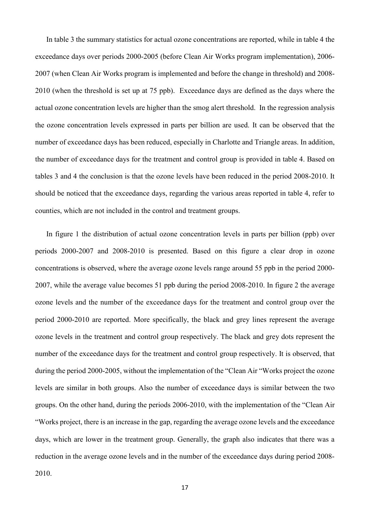In table 3 the summary statistics for actual ozone concentrations are reported, while in table 4 the exceedance days over periods 2000-2005 (before Clean Air Works program implementation), 2006- 2007 (when Clean Air Works program is implemented and before the change in threshold) and 2008- 2010 (when the threshold is set up at 75 ppb). Exceedance days are defined as the days where the actual ozone concentration levels are higher than the smog alert threshold. In the regression analysis the ozone concentration levels expressed in parts per billion are used. It can be observed that the number of exceedance days has been reduced, especially in Charlotte and Triangle areas. In addition, the number of exceedance days for the treatment and control group is provided in table 4. Based on tables 3 and 4 the conclusion is that the ozone levels have been reduced in the period 2008-2010. It should be noticed that the exceedance days, regarding the various areas reported in table 4, refer to counties, which are not included in the control and treatment groups.

In figure 1 the distribution of actual ozone concentration levels in parts per billion (ppb) over periods 2000-2007 and 2008-2010 is presented. Based on this figure a clear drop in ozone concentrations is observed, where the average ozone levels range around 55 ppb in the period 2000- 2007, while the average value becomes 51 ppb during the period 2008-2010. In figure 2 the average ozone levels and the number of the exceedance days for the treatment and control group over the period 2000-2010 are reported. More specifically, the black and grey lines represent the average ozone levels in the treatment and control group respectively. The black and grey dots represent the number of the exceedance days for the treatment and control group respectively. It is observed, that during the period 2000-2005, without the implementation of the "Clean Air "Works project the ozone levels are similar in both groups. Also the number of exceedance days is similar between the two groups. On the other hand, during the periods 2006-2010, with the implementation of the "Clean Air "Works project, there is an increase in the gap, regarding the average ozone levels and the exceedance days, which are lower in the treatment group. Generally, the graph also indicates that there was a reduction in the average ozone levels and in the number of the exceedance days during period 2008- 2010.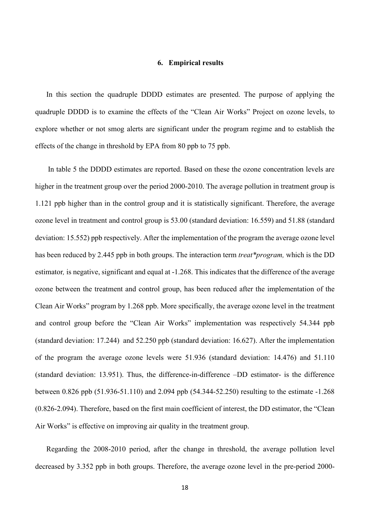#### **6. Empirical results**

In this section the quadruple DDDD estimates are presented. The purpose of applying the quadruple DDDD is to examine the effects of the "Clean Air Works" Project on ozone levels, to explore whether or not smog alerts are significant under the program regime and to establish the effects of the change in threshold by EPA from 80 ppb to 75 ppb.

In table 5 the DDDD estimates are reported. Based on these the ozone concentration levels are higher in the treatment group over the period 2000-2010. The average pollution in treatment group is 1.121 ppb higher than in the control group and it is statistically significant. Therefore, the average ozone level in treatment and control group is 53.00 (standard deviation: 16.559) and 51.88 (standard deviation: 15.552) ppb respectively. After the implementation of the program the average ozone level has been reduced by 2.445 ppb in both groups. The interaction term *treat\*program,* which is the DD estimator*,* is negative, significant and equal at -1.268. This indicates that the difference of the average ozone between the treatment and control group, has been reduced after the implementation of the Clean Air Works" program by 1.268 ppb. More specifically, the average ozone level in the treatment and control group before the "Clean Air Works" implementation was respectively 54.344 ppb (standard deviation: 17.244) and 52.250 ppb (standard deviation: 16.627). After the implementation of the program the average ozone levels were 51.936 (standard deviation: 14.476) and 51.110 (standard deviation: 13.951). Thus, the difference-in-difference –DD estimator- is the difference between 0.826 ppb (51.936-51.110) and 2.094 ppb (54.344-52.250) resulting to the estimate -1.268 (0.826-2.094). Therefore, based on the first main coefficient of interest, the DD estimator, the "Clean Air Works" is effective on improving air quality in the treatment group.

Regarding the 2008-2010 period, after the change in threshold, the average pollution level decreased by 3.352 ppb in both groups. Therefore, the average ozone level in the pre-period 2000-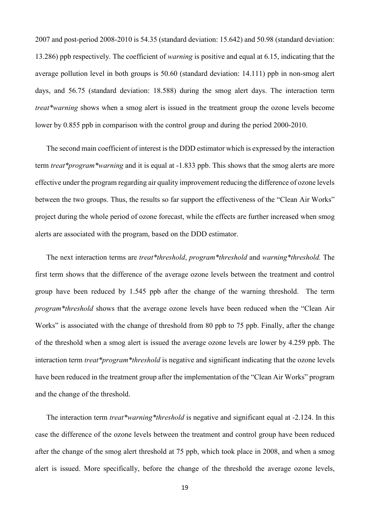2007 and post-period 2008-2010 is 54.35 (standard deviation: 15.642) and 50.98 (standard deviation: 13.286) ppb respectively. The coefficient of *warning* is positive and equal at 6.15, indicating that the average pollution level in both groups is 50.60 (standard deviation: 14.111) ppb in non-smog alert days, and 56.75 (standard deviation: 18.588) during the smog alert days. The interaction term *treat\*warning* shows when a smog alert is issued in the treatment group the ozone levels become lower by 0.855 ppb in comparison with the control group and during the period 2000-2010.

The second main coefficient of interest is the DDD estimator which is expressed by the interaction term *treat\*program\*warning* and it is equal at -1.833 ppb. This shows that the smog alerts are more effective under the program regarding air quality improvement reducing the difference of ozone levels between the two groups. Thus, the results so far support the effectiveness of the "Clean Air Works" project during the whole period of ozone forecast, while the effects are further increased when smog alerts are associated with the program, based on the DDD estimator.

The next interaction terms are *treat\*threshold*, *program\*threshold* and *warning\*threshold.* The first term shows that the difference of the average ozone levels between the treatment and control group have been reduced by 1.545 ppb after the change of the warning threshold. The term *program\*threshold* shows that the average ozone levels have been reduced when the "Clean Air Works" is associated with the change of threshold from 80 ppb to 75 ppb. Finally, after the change of the threshold when a smog alert is issued the average ozone levels are lower by 4.259 ppb. The interaction term *treat\*program\*threshold* is negative and significant indicating that the ozone levels have been reduced in the treatment group after the implementation of the "Clean Air Works" program and the change of the threshold.

The interaction term *treat\*warning\*threshold* is negative and significant equal at -2.124. In this case the difference of the ozone levels between the treatment and control group have been reduced after the change of the smog alert threshold at 75 ppb, which took place in 2008, and when a smog alert is issued. More specifically, before the change of the threshold the average ozone levels,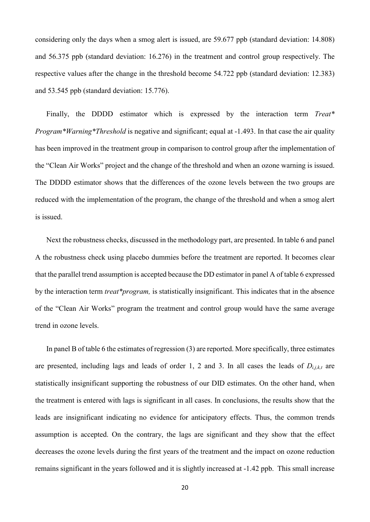considering only the days when a smog alert is issued, are 59.677 ppb (standard deviation: 14.808) and 56.375 ppb (standard deviation: 16.276) in the treatment and control group respectively. The respective values after the change in the threshold become 54.722 ppb (standard deviation: 12.383) and 53.545 ppb (standard deviation: 15.776).

Finally, the DDDD estimator which is expressed by the interaction term *Treat\* Program\*Warning\*Threshold* is negative and significant; equal at -1.493. In that case the air quality has been improved in the treatment group in comparison to control group after the implementation of the "Clean Air Works" project and the change of the threshold and when an ozone warning is issued. The DDDD estimator shows that the differences of the ozone levels between the two groups are reduced with the implementation of the program, the change of the threshold and when a smog alert is issued.

Next the robustness checks, discussed in the methodology part, are presented. In table 6 and panel A the robustness check using placebo dummies before the treatment are reported. It becomes clear that the parallel trend assumption is accepted because the DD estimator in panel A of table 6 expressed by the interaction term *treat\*program,* is statistically insignificant. This indicates that in the absence of the "Clean Air Works" program the treatment and control group would have the same average trend in ozone levels.

In panel B of table 6 the estimates of regression (3) are reported. More specifically, three estimates are presented, including lags and leads of order 1, 2 and 3. In all cases the leads of  $D_{i,j,k,t}$  are statistically insignificant supporting the robustness of our DID estimates. On the other hand, when the treatment is entered with lags is significant in all cases. In conclusions, the results show that the leads are insignificant indicating no evidence for anticipatory effects. Thus, the common trends assumption is accepted. On the contrary, the lags are significant and they show that the effect decreases the ozone levels during the first years of the treatment and the impact on ozone reduction remains significant in the years followed and it is slightly increased at -1.42 ppb. This small increase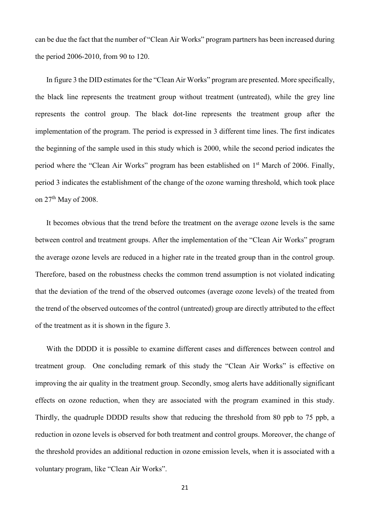can be due the fact that the number of "Clean Air Works" program partners has been increased during the period 2006-2010, from 90 to 120.

In figure 3 the DID estimates for the "Clean Air Works" program are presented. More specifically, the black line represents the treatment group without treatment (untreated), while the grey line represents the control group. The black dot-line represents the treatment group after the implementation of the program. The period is expressed in 3 different time lines. The first indicates the beginning of the sample used in this study which is 2000, while the second period indicates the period where the "Clean Air Works" program has been established on 1<sup>st</sup> March of 2006. Finally, period 3 indicates the establishment of the change of the ozone warning threshold, which took place on 27th May of 2008.

It becomes obvious that the trend before the treatment on the average ozone levels is the same between control and treatment groups. After the implementation of the "Clean Air Works" program the average ozone levels are reduced in a higher rate in the treated group than in the control group. Therefore, based on the robustness checks the common trend assumption is not violated indicating that the deviation of the trend of the observed outcomes (average ozone levels) of the treated from the trend of the observed outcomes of the control (untreated) group are directly attributed to the effect of the treatment as it is shown in the figure 3.

With the DDDD it is possible to examine different cases and differences between control and treatment group. One concluding remark of this study the "Clean Air Works" is effective on improving the air quality in the treatment group. Secondly, smog alerts have additionally significant effects on ozone reduction, when they are associated with the program examined in this study. Thirdly, the quadruple DDDD results show that reducing the threshold from 80 ppb to 75 ppb, a reduction in ozone levels is observed for both treatment and control groups. Moreover, the change of the threshold provides an additional reduction in ozone emission levels, when it is associated with a voluntary program, like "Clean Air Works".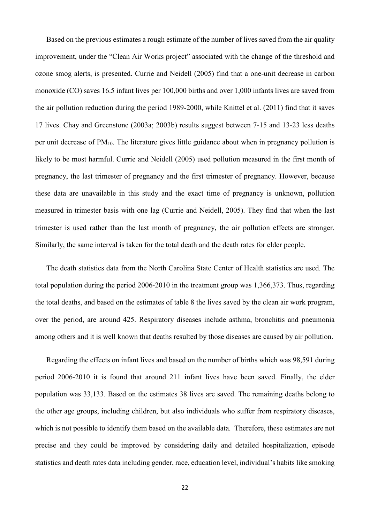Based on the previous estimates a rough estimate of the number of lives saved from the air quality improvement, under the "Clean Air Works project" associated with the change of the threshold and ozone smog alerts, is presented. Currie and Neidell (2005) find that a one-unit decrease in carbon monoxide (CO) saves 16.5 infant lives per 100,000 births and over 1,000 infants lives are saved from the air pollution reduction during the period 1989-2000, while Knittel et al. (2011) find that it saves 17 lives. Chay and Greenstone (2003a; 2003b) results suggest between 7-15 and 13-23 less deaths per unit decrease of PM10. The literature gives little guidance about when in pregnancy pollution is likely to be most harmful. Currie and Neidell (2005) used pollution measured in the first month of pregnancy, the last trimester of pregnancy and the first trimester of pregnancy. However, because these data are unavailable in this study and the exact time of pregnancy is unknown, pollution measured in trimester basis with one lag (Currie and Neidell, 2005). They find that when the last trimester is used rather than the last month of pregnancy, the air pollution effects are stronger. Similarly, the same interval is taken for the total death and the death rates for elder people.

The death statistics data from the North Carolina State Center of Health statistics are used. The total population during the period 2006-2010 in the treatment group was 1,366,373. Thus, regarding the total deaths, and based on the estimates of table 8 the lives saved by the clean air work program, over the period, are around 425. Respiratory diseases include asthma, bronchitis and pneumonia among others and it is well known that deaths resulted by those diseases are caused by air pollution.

Regarding the effects on infant lives and based on the number of births which was 98,591 during period 2006-2010 it is found that around 211 infant lives have been saved. Finally, the elder population was 33,133. Based on the estimates 38 lives are saved. The remaining deaths belong to the other age groups, including children, but also individuals who suffer from respiratory diseases, which is not possible to identify them based on the available data. Therefore, these estimates are not precise and they could be improved by considering daily and detailed hospitalization, episode statistics and death rates data including gender, race, education level, individual's habits like smoking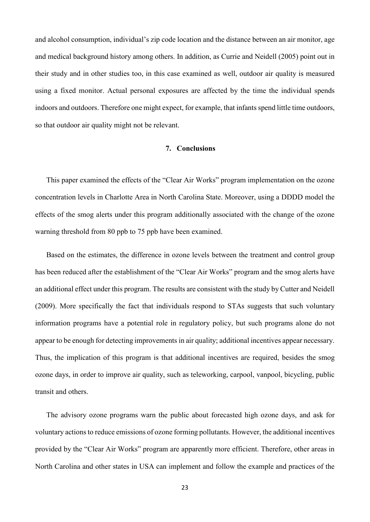and alcohol consumption, individual's zip code location and the distance between an air monitor, age and medical background history among others. In addition, as Currie and Neidell (2005) point out in their study and in other studies too, in this case examined as well, outdoor air quality is measured using a fixed monitor. Actual personal exposures are affected by the time the individual spends indoors and outdoors. Therefore one might expect, for example, that infants spend little time outdoors, so that outdoor air quality might not be relevant.

# **7. Conclusions**

This paper examined the effects of the "Clear Air Works" program implementation on the ozone concentration levels in Charlotte Area in North Carolina State. Moreover, using a DDDD model the effects of the smog alerts under this program additionally associated with the change of the ozone warning threshold from 80 ppb to 75 ppb have been examined.

Based on the estimates, the difference in ozone levels between the treatment and control group has been reduced after the establishment of the "Clear Air Works" program and the smog alerts have an additional effect under this program. The results are consistent with the study by Cutter and Neidell (2009). More specifically the fact that individuals respond to STAs suggests that such voluntary information programs have a potential role in regulatory policy, but such programs alone do not appear to be enough for detecting improvements in air quality; additional incentives appear necessary. Thus, the implication of this program is that additional incentives are required, besides the smog ozone days, in order to improve air quality, such as teleworking, carpool, vanpool, bicycling, public transit and others.

The advisory ozone programs warn the public about forecasted high ozone days, and ask for voluntary actions to reduce emissions of ozone forming pollutants. However, the additional incentives provided by the "Clear Air Works" program are apparently more efficient. Therefore, other areas in North Carolina and other states in USA can implement and follow the example and practices of the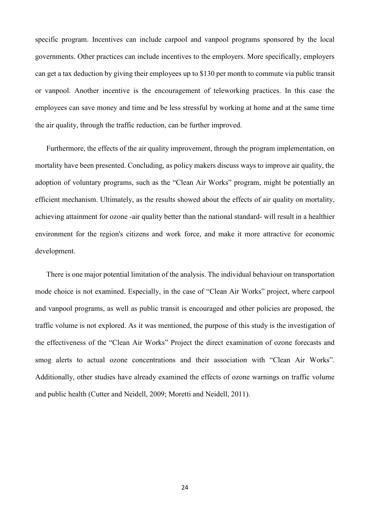specific program. Incentives can include carpool and vanpool programs sponsored by the local governments. Other practices can include incentives to the employers. More specifically, employers can get a tax deduction by giving their employees up to \$130 per month to commute via public transit or vanpool. Another incentive is the encouragement of teleworking practices. In this case the employees can save money and time and be less stressful by working at home and at the same time the air quality, through the traffic reduction, can be further improved.

Furthermore, the effects of the air quality improvement, through the program implementation, on mortality have been presented. Concluding, as policy makers discuss ways to improve air quality, the adoption of voluntary programs, such as the "Clean Air Works" program, might be potentially an efficient mechanism. Ultimately, as the results showed about the effects of air quality on mortality, achieving attainment for ozone -air quality better than the national standard- will result in a healthier environment for the region's citizens and work force, and make it more attractive for economic development.

There is one major potential limitation of the analysis. The individual behaviour on transportation mode choice is not examined. Especially, in the case of "Clean Air Works" project, where carpool and vanpool programs, as well as public transit is encouraged and other policies are proposed, the traffic volume is not explored. As it was mentioned, the purpose of this study is the investigation of the effectiveness of the "Clean Air Works" Project the direct examination of ozone forecasts and smog alerts to actual ozone concentrations and their association with "Clean Air Works". Additionally, other studies have already examined the effects of ozone warnings on traffic volume and public health (Cutter and Neidell, 2009; Moretti and Neidell, 2011).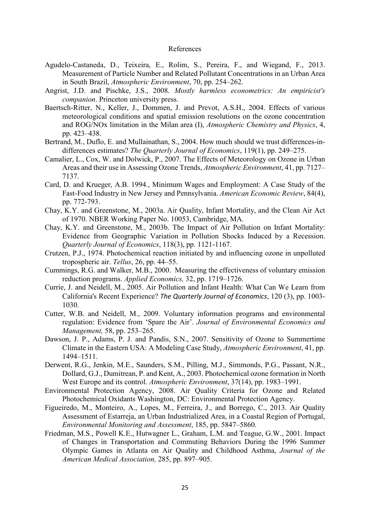#### References

- Agudelo-Castaneda, D., Teixeira, E., Rolim, S., Pereira, F., and Wiegand, F., 2013. Measurement of Particle Number and Related Pollutant Concentrations in an Urban Area in South Brazil, *Atmospheric Environment*, 70, pp. 254–262.
- Angrist, J.D. and Pischke, J.S., 2008. *Mostly harmless econometrics: An empiricist's companion*. Princeton university press.
- Baertsch-Ritter, N., Keller, J., Dommen, J. and Prevot, A.S.H., 2004. Effects of various meteorological conditions and spatial emission resolutions on the ozone concentration and ROG/NOx limitation in the Milan area (I), *Atmospheric Chemistry and Physics*, 4, pp. 423–438.
- Bertrand, M., Duflo, E. and Mullainathan, S., 2004. How much should we trust differences-indifferences estimates? *The Quarterly Journal of Economics*, 119(1), pp. 249–275.
- Camalier, L., Cox, W. and Dolwick, P., 2007. The Effects of Meteorology on Ozone in Urban Areas and their use in Assessing Ozone Trends, *Atmospheric Environment*, 41, pp. 7127– 7137.
- Card, D. and Krueger, A.B. 1994., Minimum Wages and Employment: A Case Study of the Fast-Food Industry in New Jersey and Pennsylvania. *American Economic Review*, 84(4), pp. 772-793.
- Chay, K.Y. and Greenstone, M., 2003a. Air Quality, Infant Mortality, and the Clean Air Act of 1970. NBER Working Paper No. 10053, Cambridge, MA.
- Chay, K.Y. and Greenstone, M., 2003b. The Impact of Air Pollution on Infant Mortality: Evidence from Geographic Variation in Pollution Shocks Induced by a Recession. *Quarterly Journal of Economics*, 118(3), pp. 1121-1167.
- Crutzen, P.J., 1974. Photochemical reaction initiated by and influencing ozone in unpolluted tropospheric air. *Tellus*, 26, pp. 44–55.
- Cummings, R.G. and Walker, M.B., 2000. Measuring the effectiveness of voluntary emission reduction programs. *Applied Economics,* 32, pp. 1719–1726.
- Currie, J. and Neidell, M., 2005. Air Pollution and Infant Health: What Can We Learn from California's Recent Experience? *The Quarterly Journal of Economics*, 120 (3), pp. 1003- 1030.
- Cutter, W.B. and Neidell, M., 2009. Voluntary information programs and environmental regulation: Evidence from 'Spare the Air'. *Journal of Environmental Economics and Management,* 58, pp. 253–265.
- Dawson, J. P., Adams, P. J. and Pandis, S.N., 2007. Sensitivity of Ozone to Summertime Climate in the Eastern USA: A Modeling Case Study, *Atmospheric Environment*, 41, pp. 1494–1511.
- Derwent, R.G., Jenkin, M.E., Saunders, S.M., Pilling, M.J., Simmonds, P.G., Passant, N.R., Dollard, G.J., Dumitrean, P. and Kent, A., 2003. Photochemical ozone formation in North West Europe and its control. *Atmospheric Environment*, 37(14), pp. 1983–1991.
- Environmental Protection Agency, 2008. Air Quality Criteria for Ozone and Related Photochemical Oxidants Washington, DC: Environmental Protection Agency.
- Figueiredo, M., Monteiro, A., Lopes, M., Ferreira, J., and Borrego, C., 2013. Air Quality Assessment of Estarreja, an Urban Industrialized Area, in a Coastal Region of Portugal, *Environmental Monitoring and Assessment*, 185, pp. 5847–5860.
- Friedman, M.S., Powell K.E., Hutwagner L., Graham, L.M. and Teague, G.W., 2001. Impact of Changes in Transportation and Commuting Behaviors During the 1996 Summer Olympic Games in Atlanta on Air Quality and Childhood Asthma, *Journal of the American Medical Association,* 285, pp. 897–905.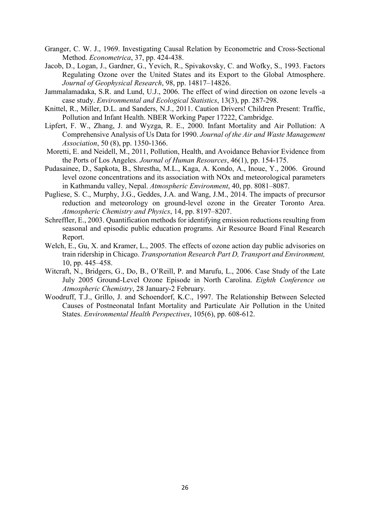- Granger, C. W. J., 1969. Investigating Causal Relation by Econometric and Cross-Sectional Method. *Econometrica*, 37, pp. 424-438.
- Jacob, D., Logan, J., Gardner, G., Yevich, R., Spivakovsky, C. and Wofky, S., 1993. Factors Regulating Ozone over the United States and its Export to the Global Atmosphere. *Journal of Geophysical Research*, 98, pp. 14817–14826.
- Jammalamadaka, S.R. and Lund, U.J., 2006. The effect of wind direction on ozone levels -a case study. *Environmental and Ecological Statistics*, 13(3), pp. 287-298.
- Knittel, R., Miller, D.L. and Sanders, N.J., 2011. Caution Drivers! Children Present: Traffic, Pollution and Infant Health. NBER Working Paper 17222, Cambridge.
- Lipfert, F. W., Zhang, J. and Wyzga, R. E., 2000. Infant Mortality and Air Pollution: A Comprehensive Analysis of Us Data for 1990. *Journal of the Air and Waste Management Association*, 50 (8), pp. 1350-1366.
- Moretti, E. and Neidell, M., 2011, Pollution, Health, and Avoidance Behavior Evidence from the Ports of Los Angeles. *Journal of Human Resources*, 46(1), pp. 154-175.
- Pudasainee, D., Sapkota, B., Shrestha, M.L., Kaga, A. Kondo, A., Inoue, Y., 2006. Ground level ozone concentrations and its association with NOx and meteorological parameters in Kathmandu valley, Nepal. *Atmospheric Environment*, 40, pp. 8081–8087.
- Pugliese, S. C., Murphy, J.G., Geddes, J.A. and Wang, J.M., 2014. The impacts of precursor reduction and meteorology on ground-level ozone in the Greater Toronto Area. *Atmospheric Chemistry and Physics*, 14, pp. 8197–8207.
- Schreffler, E., 2003. Quantification methods for identifying emission reductions resulting from seasonal and episodic public education programs. Air Resource Board Final Research Report.
- Welch, E., Gu, X. and Kramer, L., 2005. The effects of ozone action day public advisories on train ridership in Chicago. *Transportation Research Part D, Transport and Environment,*  10, pp. 445–458.
- Witcraft, N., Bridgers, G., Do, B., O'Reill, P. and Marufu, L., 2006. Case Study of the Late July 2005 Ground-Level Ozone Episode in North Carolina. *Eighth Conference on Atmospheric Chemistry*, 28 January-2 February.
- Woodruff, T.J., Grillo, J. and Schoendorf, K.C., 1997. The Relationship Between Selected Causes of Postneonatal Infant Mortality and Particulate Air Pollution in the United States. *Environmental Health Perspectives*, 105(6), pp. 608-612.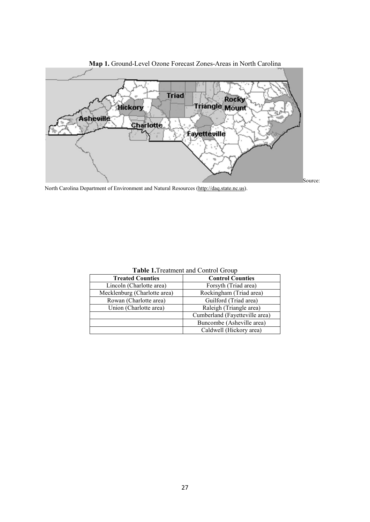

**Map 1.** Ground-Level Ozone Forecast Zones-Areas in North Carolina

North Carolina Department of Environment and Natural Resources (http://daq.state.nc.us).

| <b>Treated Counties</b>      | <b>Control Counties</b>        |  |
|------------------------------|--------------------------------|--|
| Lincoln (Charlotte area)     | Forsyth (Triad area)           |  |
| Mecklenburg (Charlotte area) | Rockingham (Triad area)        |  |
| Rowan (Charlotte area)       | Guilford (Triad area)          |  |
| Union (Charlotte area)       | Raleigh (Triangle area)        |  |
|                              | Cumberland (Fayetteville area) |  |
|                              | Buncombe (Asheville area)      |  |
|                              | Caldwell (Hickory area)        |  |

**Table 1.**Treatment and Control Group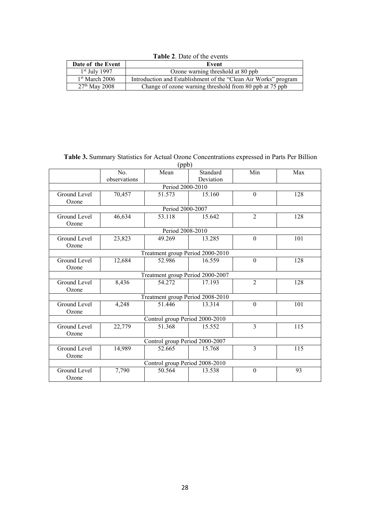**Table 2**. Date of the events

| Date of the Event | Event                                                           |  |  |
|-------------------|-----------------------------------------------------------------|--|--|
| $1st$ July 1997   | Ozone warning threshold at 80 ppb                               |  |  |
| $1st$ March 2006  | Introduction and Establishment of the "Clean Air Works" program |  |  |
| $27th$ May 2008   | Change of ozone warning threshold from 80 ppb at 75 ppb         |  |  |

| Table 3. Summary Statistics for Actual Ozone Concentrations expressed in Parts Per Billion |
|--------------------------------------------------------------------------------------------|
| (ppb)                                                                                      |

|                                | No.          | Mean                             | Standard  | Min            | Max              |
|--------------------------------|--------------|----------------------------------|-----------|----------------|------------------|
|                                | observations |                                  | Deviation |                |                  |
|                                |              | Period 2000-2010                 |           |                |                  |
| Ground Level                   | 70,457       | 51.573                           | 15.160    | $\theta$       | 128              |
| Ozone                          |              |                                  |           |                |                  |
|                                |              | Period 2000-2007                 |           |                |                  |
| <b>Ground Level</b>            | 46,634       | 53.118                           | 15.642    | $\overline{2}$ | 128              |
| Ozone                          |              |                                  |           |                |                  |
|                                |              | Period 2008-2010                 |           |                |                  |
| Ground Level                   | 23,823       | 49.269                           | 13.285    | $\theta$       | 101              |
| Ozone                          |              |                                  |           |                |                  |
|                                |              | Treatment group Period 2000-2010 |           |                |                  |
| Ground Level                   | 12,684       | 52.986                           | 16.559    | $\Omega$       | 128              |
| Ozone                          |              |                                  |           |                |                  |
|                                |              | Treatment group Period 2000-2007 |           |                |                  |
| <b>Ground Level</b>            | 8,436        | 54.272                           | 17.193    | $\overline{2}$ | $\overline{128}$ |
| Ozone                          |              |                                  |           |                |                  |
|                                |              | Treatment group Period 2008-2010 |           |                |                  |
| Ground Level                   | 4,248        | 51.446                           | 13.314    | $\theta$       | 101              |
| Ozone                          |              |                                  |           |                |                  |
|                                |              | Control group Period 2000-2010   |           |                |                  |
| Ground Level                   | 22,779       | 51.368                           | 15.552    | $\overline{3}$ | 115              |
| Ozone                          |              |                                  |           |                |                  |
| Control group Period 2000-2007 |              |                                  |           |                |                  |
| Ground Level                   | 14,989       | 52.665                           | 15.768    | 3              | 115              |
| Ozone                          |              |                                  |           |                |                  |
|                                |              | Control group Period 2008-2010   |           |                |                  |
| Ground Level                   | 7,790        | 50.564                           | 13.538    | $\theta$       | 93               |
| Ozone                          |              |                                  |           |                |                  |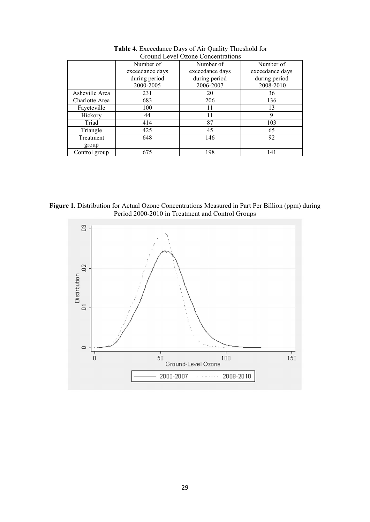|                | Number of       | Number of       | Number of       |
|----------------|-----------------|-----------------|-----------------|
|                | exceedance days | exceedance days | exceedance days |
|                | during period   | during period   | during period   |
|                | 2000-2005       | 2006-2007       | 2008-2010       |
| Asheville Area | 231             | 20              | 36              |
| Charlotte Area | 683             | 206             | 136             |
| Fayeteville    | 100             | 11              | 13              |
| Hickory        | 44              | 11              | 9               |
| Triad          | 414             | 87              | 103             |
| Triangle       | 425             | 45              | 65              |
| Treatment      | 648             | 146             | 92              |
| group          |                 |                 |                 |
| Control group  | 675             | 198             | 141             |

**Table 4.** Exceedance Days of Air Quality Threshold for Ground Level Ozone Concentrations



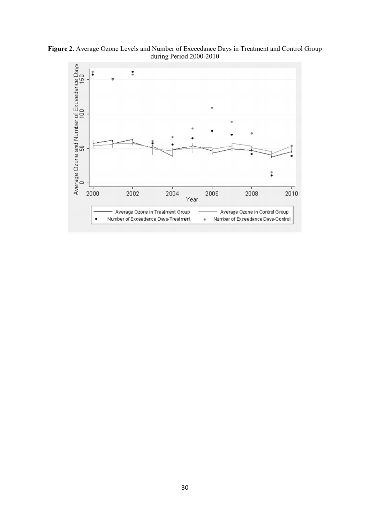**Figure 2.** Average Ozone Levels and Number of Exceedance Days in Treatment and Control Group during Period 2000-2010

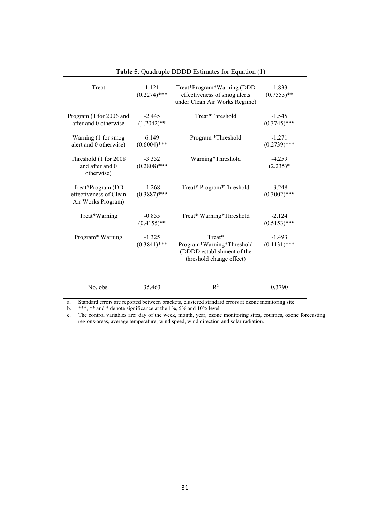| Treat                                                             | 1.121<br>$(0.2274)$ ***    | Treat*Program*Warning (DDD<br>effectiveness of smog alerts<br>under Clean Air Works Regime)   | $-1.833$<br>$(0.7553)$ **  |
|-------------------------------------------------------------------|----------------------------|-----------------------------------------------------------------------------------------------|----------------------------|
| Program (1 for 2006 and<br>after and 0 otherwise                  | $-2.445$<br>$(1.2042)$ **  | Treat*Threshold                                                                               | $-1.545$<br>$(0.3745)$ *** |
| Warning (1 for smog<br>alert and 0 otherwise)                     | 6.149<br>$(0.6004)$ ***    | Program *Threshold                                                                            | $-1.271$<br>$(0.2739)$ *** |
| Threshold (1 for 2008)<br>and after and 0<br>otherwise)           | $-3.352$<br>$(0.2808)$ *** | Warning*Threshold                                                                             | $-4.259$<br>$(2.235)*$     |
| Treat*Program (DD<br>effectiveness of Clean<br>Air Works Program) | $-1.268$<br>$(0.3887)$ *** | Treat* Program*Threshold                                                                      | $-3.248$<br>$(0.3002)$ *** |
| Treat*Warning                                                     | $-0.855$<br>$(0.4155)$ **  | Treat* Warning*Threshold                                                                      | $-2.124$<br>$(0.5153)$ *** |
| Program* Warning                                                  | $-1.325$<br>$(0.3841)$ *** | Treat*<br>Program*Warning*Threshold<br>(DDDD establishment of the<br>threshold change effect) | $-1.493$<br>$(0.1131)$ *** |
| No. obs.                                                          | 35,463                     | $R^2$                                                                                         | 0.3790                     |

**Table 5.** Quadruple DDDD Estimates for Equation (1)

a. Standard errors are reported between brackets, clustered standard errors at ozone monitoring site<br>b. \*\*\*, \*\* and \* denote significance at the 1%, 5% and 10% level

b. \*\*\*, \*\* and \* denote significance at the 1%,  $5\%$  and 10% level<br>c. The control variables are: day of the week, month, year, ozone c. The control variables are: day of the week, month, year, ozone monitoring sites, counties, ozone forecasting regions-areas, average temperature, wind speed, wind direction and solar radiation.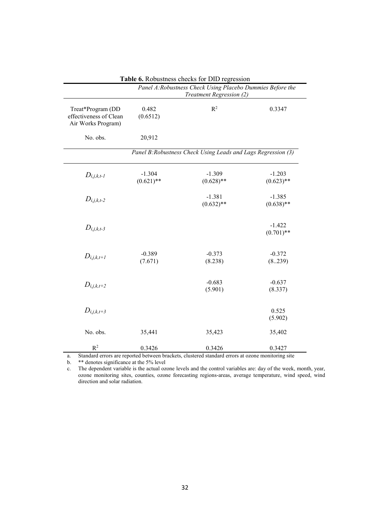|                                                                   | Panel A: Robustness Check Using Placebo Dummies Before the<br>Treatment Regression (2) |                                                               |                          |
|-------------------------------------------------------------------|----------------------------------------------------------------------------------------|---------------------------------------------------------------|--------------------------|
| Treat*Program (DD<br>effectiveness of Clean<br>Air Works Program) | 0.482<br>(0.6512)                                                                      | R <sup>2</sup>                                                | 0.3347                   |
| No. obs.                                                          | 20,912                                                                                 |                                                               |                          |
|                                                                   |                                                                                        | Panel B: Robustness Check Using Leads and Lags Regression (3) |                          |
| $D_{i,j,k,t-1}$                                                   | $-1.304$<br>$(0.621)$ **                                                               | $-1.309$<br>$(0.628)$ **                                      | $-1.203$<br>$(0.623)$ ** |
| $D_{i,j,k,t-2}$                                                   |                                                                                        | $-1.381$<br>$(0.632)$ **                                      | $-1.385$<br>$(0.638)$ ** |
| $D_{i,j,k,t-3}$                                                   |                                                                                        |                                                               | $-1.422$<br>$(0.701)$ ** |
| $D_{i,j,k,t+1}$                                                   | $-0.389$<br>(7.671)                                                                    | $-0.373$<br>(8.238)                                           | $-0.372$<br>(8239)       |
| $D_{i,j,k,t+2}$                                                   |                                                                                        | $-0.683$<br>(5.901)                                           | $-0.637$<br>(8.337)      |
| $D_{i,j,k,t+3}$                                                   |                                                                                        |                                                               | 0.525<br>(5.902)         |
| No. obs.                                                          | 35,441                                                                                 | 35,423                                                        | 35,402                   |
| $R^2$                                                             | 0.3426                                                                                 | 0.3426                                                        | 0.3427                   |

**Table 6.** Robustness checks for DID regression

a. Standard errors are reported between brackets, clustered standard errors at ozone monitoring site

b. \*\* denotes significance at the 5% level

c. The dependent variable is the actual ozone levels and the control variables are: day of the week, month, year, ozone monitoring sites, counties, ozone forecasting regions-areas, average temperature, wind speed, wind direction and solar radiation.